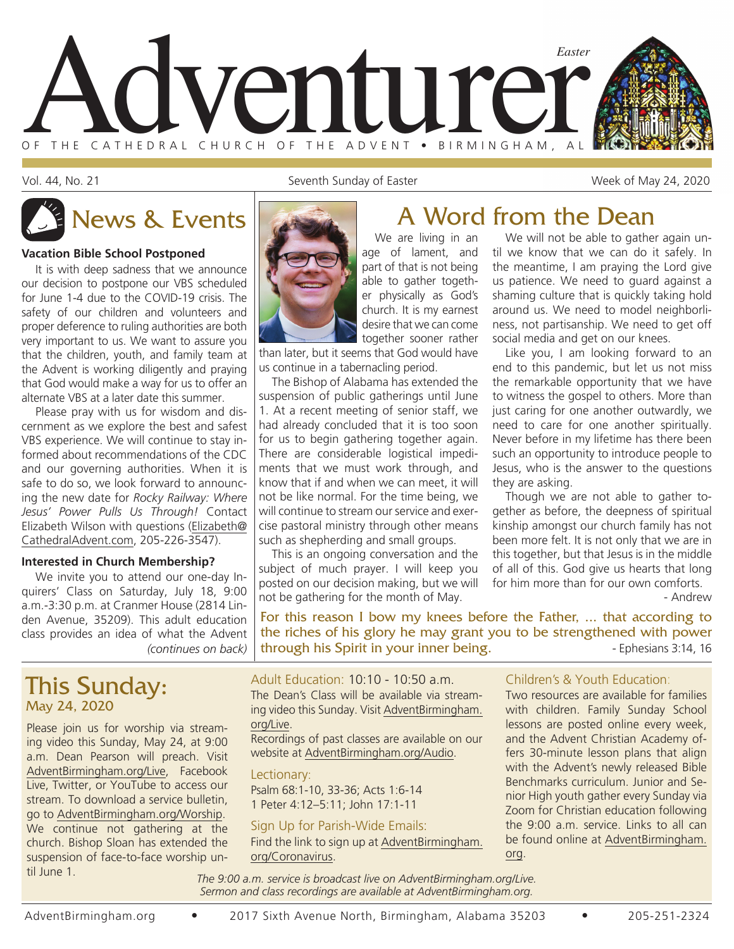

Vol. 44, No. 21 Seventh Sunday of Easter Sunday of Easter Sunday of Easter Sunday of Easter Week of May 24, 2020

#### **Vacation Bible School Postponed**

It is with deep sadness that we announce our decision to postpone our VBS scheduled for June 1-4 due to the COVID-19 crisis. The safety of our children and volunteers and proper deference to ruling authorities are both very important to us. We want to assure you that the children, youth, and family team at the Advent is working diligently and praying that God would make a way for us to offer an alternate VBS at a later date this summer.

Please pray with us for wisdom and discernment as we explore the best and safest VBS experience. We will continue to stay informed about recommendations of the CDC and our governing authorities. When it is safe to do so, we look forward to announcing the new date for *Rocky Railway: Where Jesus' Power Pulls Us Through!* Contact Elizabeth Wilson with questions (Elizabeth@ CathedralAdvent.com, 205-226-3547).

#### **Interested in Church Membership?**

*(continues on back)* We invite you to attend our one-day Inquirers' Class on Saturday, July 18, 9:00 a.m.-3:30 p.m. at Cranmer House (2814 Linden Avenue, 35209). This adult education class provides an idea of what the Advent

### This Sunday: May 24, 2020

Please join us for worship via streaming video this Sunday, May 24, at 9:00 a.m. Dean Pearson will preach. Visit AdventBirmingham.org/Live, Facebook Live, Twitter, or YouTube to access our stream. To download a service bulletin, go to AdventBirmingham.org/Worship. We continue not gathering at the church. Bishop Sloan has extended the suspension of face-to-face worship until June 1.



age of lament, and part of that is not being able to gather together physically as God's church. It is my earnest desire that we can come together sooner rather

than later, but it seems that God would have us continue in a tabernacling period.

The Bishop of Alabama has extended the suspension of public gatherings until June 1. At a recent meeting of senior staff, we had already concluded that it is too soon for us to begin gathering together again. There are considerable logistical impediments that we must work through, and know that if and when we can meet, it will not be like normal. For the time being, we will continue to stream our service and exercise pastoral ministry through other means such as shepherding and small groups.

This is an ongoing conversation and the subject of much prayer. I will keep you posted on our decision making, but we will not be gathering for the month of May.

### We are living in an News & Events **A** Word from the Dean

We will not be able to gather again until we know that we can do it safely. In the meantime, I am praying the Lord give us patience. We need to guard against a shaming culture that is quickly taking hold around us. We need to model neighborliness, not partisanship. We need to get off social media and get on our knees.

Like you, I am looking forward to an end to this pandemic, but let us not miss the remarkable opportunity that we have to witness the gospel to others. More than just caring for one another outwardly, we need to care for one another spiritually. Never before in my lifetime has there been such an opportunity to introduce people to Jesus, who is the answer to the questions they are asking.

Though we are not able to gather together as before, the deepness of spiritual kinship amongst our church family has not been more felt. It is not only that we are in this together, but that Jesus is in the middle of all of this. God give us hearts that long for him more than for our own comforts.

- Andrew

For this reason I bow my knees before the Father, ... that according to the riches of his glory he may grant you to be strengthened with power through his Spirit in your inner being.

Adult Education: 10:10 - 10:50 a.m. The Dean's Class will be available via streaming video this Sunday. Visit AdventBirmingham. org/Live.

Recordings of past classes are available on our website at AdventBirmingham.org/Audio.

Lectionary:

Psalm 68:1-10, 33-36; Acts 1:6-14 1 Peter 4:12–5:11; John 17:1-11

#### Sign Up for Parish-Wide Emails:

Find the link to sign up at AdventBirmingham. org/Coronavirus.

#### Children's & Youth Education:

Two resources are available for families with children. Family Sunday School lessons are posted online every week, and the Advent Christian Academy offers 30-minute lesson plans that align with the Advent's newly released Bible Benchmarks curriculum. Junior and Senior High youth gather every Sunday via Zoom for Christian education following the 9:00 a.m. service. Links to all can be found online at AdventBirmingham. org.

*The 9:00 a.m. service is broadcast live on AdventBirmingham.org/Live. Sermon and class recordings are available at AdventBirmingham.org.*